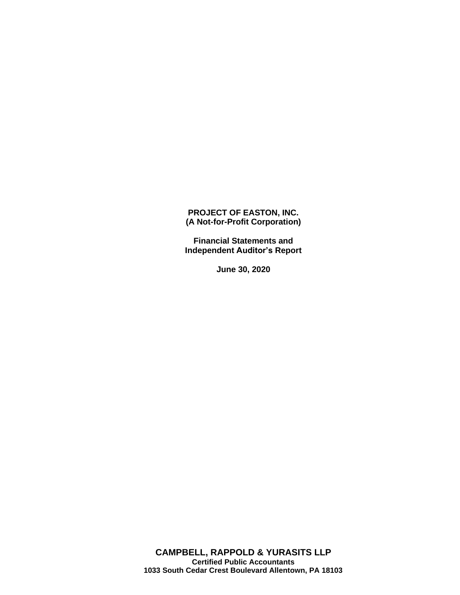**PROJECT OF EASTON, INC. (A Not-for-Profit Corporation)**

**Financial Statements and Independent Auditor's Report**

**June 30, 2020**

**CAMPBELL, RAPPOLD & YURASITS LLP Certified Public Accountants 1033 South Cedar Crest Boulevard Allentown, PA 18103**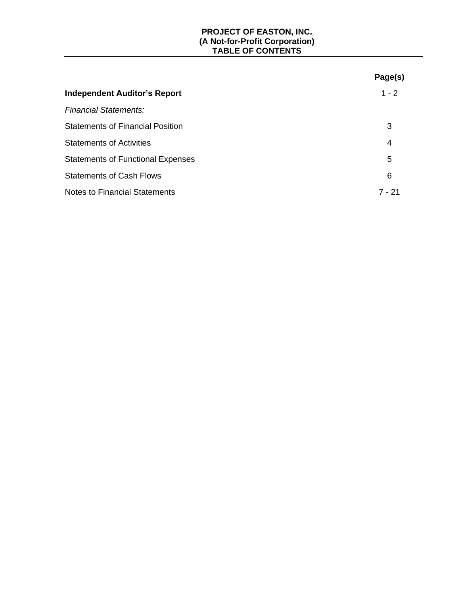# **PROJECT OF EASTON, INC. (A Not-for-Profit Corporation) TABLE OF CONTENTS**

|                                          | Page(s) |
|------------------------------------------|---------|
| <b>Independent Auditor's Report</b>      | $1 - 2$ |
| <b>Financial Statements:</b>             |         |
| <b>Statements of Financial Position</b>  | 3       |
| <b>Statements of Activities</b>          | 4       |
| <b>Statements of Functional Expenses</b> | 5       |
| <b>Statements of Cash Flows</b>          | 6       |
| <b>Notes to Financial Statements</b>     | 7 - 21  |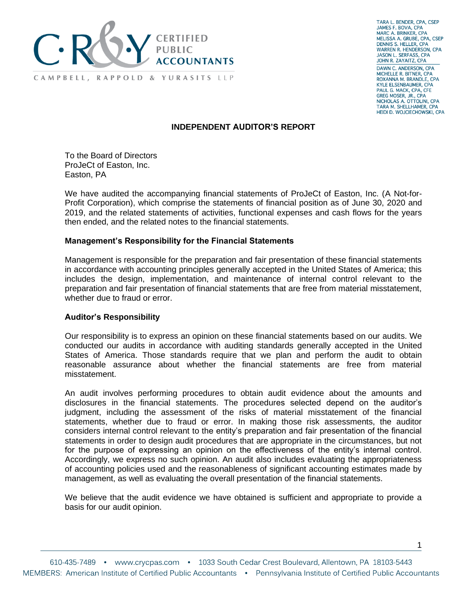

TARA L. BENDER, CPA, CSEP JAMES F. BOVA, CPA MARC A. BRINKER, CPA MELISSA A. GRUBE, CPA, CSEP DENNIS S. HELLER, CPA **WARREN R. HENDERSON, CPA** JASON L. SERFASS, CPA JOHN R. ZAYAITZ, CPA DAWN C. ANDERSON, CPA MICHELLE R. BITNER, CPA ROXANNA M. BRANDLE, CPA **KYLE ELSENBAUMER, CPA** PAUL G. MACK. CPA. CFE GREG MOSER, JR., CPA NICHOLAS A. OTTOLINI, CPA TARA M. SHELLHAMER, CPA HEIDI D. WOJCIECHOWSKI, CPA

# **INDEPENDENT AUDITOR'S REPORT**

To the Board of Directors ProJeCt of Easton, Inc. Easton, PA

We have audited the accompanying financial statements of ProJeCt of Easton, Inc. (A Not-for-Profit Corporation), which comprise the statements of financial position as of June 30, 2020 and 2019, and the related statements of activities, functional expenses and cash flows for the years then ended, and the related notes to the financial statements.

## **Management's Responsibility for the Financial Statements**

Management is responsible for the preparation and fair presentation of these financial statements in accordance with accounting principles generally accepted in the United States of America; this includes the design, implementation, and maintenance of internal control relevant to the preparation and fair presentation of financial statements that are free from material misstatement, whether due to fraud or error.

### **Auditor's Responsibility**

Our responsibility is to express an opinion on these financial statements based on our audits. We conducted our audits in accordance with auditing standards generally accepted in the United States of America. Those standards require that we plan and perform the audit to obtain reasonable assurance about whether the financial statements are free from material misstatement.

An audit involves performing procedures to obtain audit evidence about the amounts and disclosures in the financial statements. The procedures selected depend on the auditor's judgment, including the assessment of the risks of material misstatement of the financial statements, whether due to fraud or error. In making those risk assessments, the auditor considers internal control relevant to the entity's preparation and fair presentation of the financial statements in order to design audit procedures that are appropriate in the circumstances, but not for the purpose of expressing an opinion on the effectiveness of the entity's internal control. Accordingly, we express no such opinion. An audit also includes evaluating the appropriateness of accounting policies used and the reasonableness of significant accounting estimates made by management, as well as evaluating the overall presentation of the financial statements.

We believe that the audit evidence we have obtained is sufficient and appropriate to provide a basis for our audit opinion.

1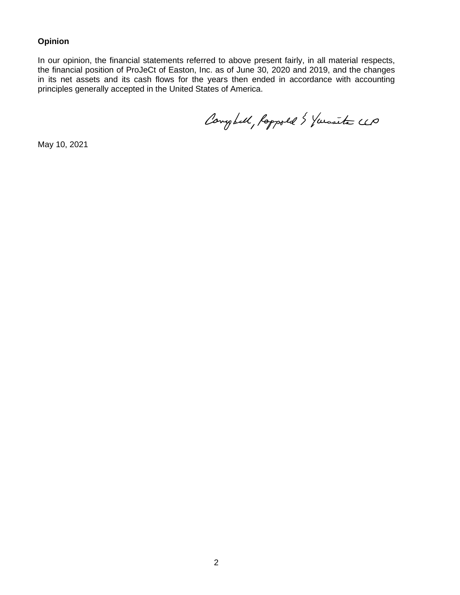# **Opinion**

In our opinion, the financial statements referred to above present fairly, in all material respects, the financial position of ProJeCt of Easton, Inc. as of June 30, 2020 and 2019, and the changes in its net assets and its cash flows for the years then ended in accordance with accounting principles generally accepted in the United Stat es of America.

Compbell, Rappold & Youasita UP

May 10, 2021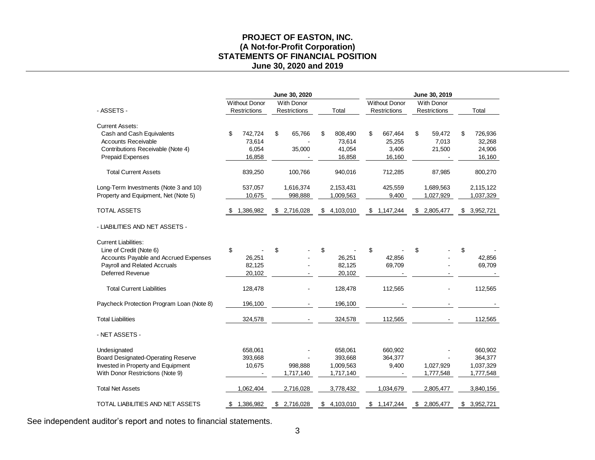## **PROJECT OF EASTON, INC. (A Not-for-Profit Corporation) STATEMENTS OF FINANCIAL POSITION June 30, 2020 and 2019**

|                                           |                      | June 30, 2020     |                 |                      | June 30, 2019       |                 |
|-------------------------------------------|----------------------|-------------------|-----------------|----------------------|---------------------|-----------------|
|                                           | <b>Without Donor</b> | <b>With Donor</b> |                 | <b>Without Donor</b> | <b>With Donor</b>   |                 |
| - ASSETS -                                | Restrictions         | Restrictions      | Total           | <b>Restrictions</b>  | <b>Restrictions</b> | Total           |
| <b>Current Assets:</b>                    |                      |                   |                 |                      |                     |                 |
| Cash and Cash Equivalents                 | \$<br>742,724        | \$<br>65,766      | \$<br>808,490   | \$<br>667,464        | \$<br>59,472        | 726,936<br>\$   |
| <b>Accounts Receivable</b>                | 73,614               |                   | 73,614          | 25,255               | 7,013               | 32,268          |
| Contributions Receivable (Note 4)         | 6,054                | 35,000            | 41,054          | 3,406                | 21,500              | 24,906          |
| <b>Prepaid Expenses</b>                   | 16,858               |                   | 16,858          | 16,160               |                     | 16,160          |
| <b>Total Current Assets</b>               | 839,250              | 100,766           | 940,016         | 712,285              | 87,985              | 800,270         |
| Long-Term Investments (Note 3 and 10)     | 537,057              | 1,616,374         | 2,153,431       | 425,559              | 1,689,563           | 2,115,122       |
| Property and Equipment, Net (Note 5)      | 10,675               | 998,888           | 1,009,563       | 9,400                | 1,027,929           | 1,037,329       |
| TOTAL ASSETS                              | 1,386,982<br>\$      | 2,716,028<br>\$   | \$<br>4,103,010 | \$<br>1,147,244      | \$<br>2,805,477     | \$<br>3,952,721 |
| - LIABILITIES AND NET ASSETS -            |                      |                   |                 |                      |                     |                 |
| <b>Current Liabilities:</b>               |                      |                   |                 |                      |                     |                 |
| Line of Credit (Note 6)                   | \$                   | \$                | \$              | \$                   | \$                  | \$              |
| Accounts Payable and Accrued Expenses     | 26,251               |                   | 26,251          | 42,856               |                     | 42.856          |
| Payroll and Related Accruals              | 82,125               |                   | 82,125          | 69,709               |                     | 69,709          |
| <b>Deferred Revenue</b>                   | 20,102               |                   | 20,102          |                      |                     |                 |
| <b>Total Current Liabilities</b>          | 128,478              |                   | 128,478         | 112,565              |                     | 112,565         |
| Paycheck Protection Program Loan (Note 8) | 196,100              |                   | 196,100         |                      |                     |                 |
| <b>Total Liabilities</b>                  | 324,578              |                   | 324,578         | 112,565              |                     | 112,565         |
| - NET ASSETS -                            |                      |                   |                 |                      |                     |                 |
| Undesignated                              | 658,061              |                   | 658,061         | 660,902              |                     | 660,902         |
| Board Designated-Operating Reserve        | 393,668              |                   | 393,668         | 364,377              |                     | 364,377         |
| Invested in Property and Equipment        | 10,675               | 998,888           | 1,009,563       | 9,400                | 1,027,929           | 1,037,329       |
| With Donor Restrictions (Note 9)          |                      | 1,717,140         | 1,717,140       |                      | 1,777,548           | 1,777,548       |
| <b>Total Net Assets</b>                   | 1,062,404            | 2,716,028         | 3,778,432       | 1,034,679            | 2,805,477           | 3,840,156       |
| TOTAL LIABILITIES AND NET ASSETS          | 1,386,982<br>- \$    | 2,716,028<br>S.   | 4,103,010<br>\$ | 1,147,244<br>\$      | 2,805,477<br>S.     | 3,952,721<br>S. |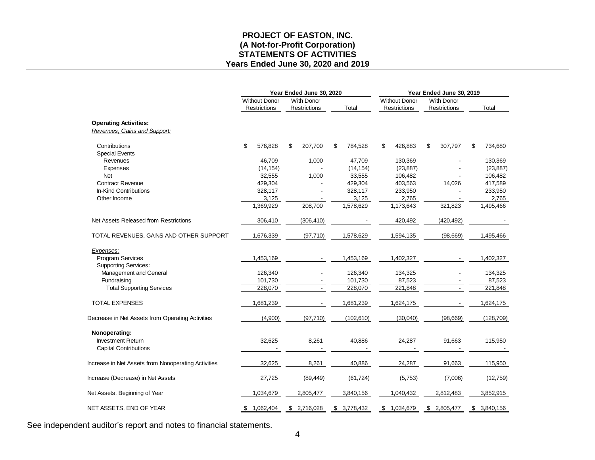## **PROJECT OF EASTON, INC. (A Not-for-Profit Corporation) STATEMENTS OF ACTIVITIES Years Ended June 30, 2020 and 2019**

|                                                              | Year Ended June 30, 2020 |                                      |    |                            |    |            |    | Year Ended June 30, 2019             |    |                            |    |            |
|--------------------------------------------------------------|--------------------------|--------------------------------------|----|----------------------------|----|------------|----|--------------------------------------|----|----------------------------|----|------------|
|                                                              |                          | <b>Without Donor</b><br>Restrictions |    | With Donor<br>Restrictions |    | Total      |    | <b>Without Donor</b><br>Restrictions |    | With Donor<br>Restrictions |    | Total      |
| <b>Operating Activities:</b><br>Revenues, Gains and Support: |                          |                                      |    |                            |    |            |    |                                      |    |                            |    |            |
| Contributions                                                | \$                       | 576,828                              | \$ | 207,700                    | \$ | 784,528    | \$ | 426,883                              | \$ | 307,797                    | \$ | 734,680    |
| <b>Special Events</b>                                        |                          |                                      |    |                            |    |            |    |                                      |    |                            |    |            |
| Revenues                                                     |                          | 46,709                               |    | 1,000                      |    | 47,709     |    | 130,369                              |    |                            |    | 130,369    |
| <b>Expenses</b>                                              |                          | (14, 154)                            |    |                            |    | (14, 154)  |    | (23, 887)                            |    |                            |    | (23, 887)  |
| Net                                                          |                          | 32,555                               |    | 1,000                      |    | 33,555     |    | 106,482                              |    |                            |    | 106,482    |
| <b>Contract Revenue</b>                                      |                          | 429,304                              |    |                            |    | 429,304    |    | 403,563                              |    | 14,026                     |    | 417,589    |
| In-Kind Contributions                                        |                          | 328,117                              |    |                            |    | 328,117    |    | 233,950                              |    |                            |    | 233,950    |
| Other Income                                                 |                          | 3,125                                |    |                            |    | 3,125      |    | 2,765                                |    |                            |    | 2,765      |
|                                                              |                          | 1,369,929                            |    | 208,700                    |    | 1,578,629  |    | 1,173,643                            |    | 321,823                    |    | 1,495,466  |
| Net Assets Released from Restrictions                        |                          | 306,410                              |    | (306, 410)                 |    |            |    | 420,492                              |    | (420, 492)                 |    |            |
| TOTAL REVENUES, GAINS AND OTHER SUPPORT                      |                          | 1,676,339                            |    | (97, 710)                  |    | 1,578,629  |    | 1,594,135                            |    | (98, 669)                  |    | 1,495,466  |
| Expenses:                                                    |                          |                                      |    |                            |    |            |    |                                      |    |                            |    |            |
| <b>Program Services</b>                                      |                          | 1,453,169                            |    |                            |    | 1,453,169  |    | 1,402,327                            |    |                            |    | 1,402,327  |
| <b>Supporting Services:</b>                                  |                          |                                      |    |                            |    |            |    |                                      |    |                            |    |            |
| Management and General                                       |                          | 126,340                              |    |                            |    | 126,340    |    | 134,325                              |    |                            |    | 134,325    |
| Fundraising                                                  |                          | 101,730                              |    |                            |    | 101,730    |    | 87,523                               |    |                            |    | 87,523     |
| <b>Total Supporting Services</b>                             |                          | 228,070                              |    |                            |    | 228,070    |    | 221,848                              |    |                            |    | 221,848    |
| <b>TOTAL EXPENSES</b>                                        |                          | 1,681,239                            |    |                            |    | 1,681,239  |    | 1,624,175                            |    |                            |    | 1,624,175  |
| Decrease in Net Assets from Operating Activities             |                          | (4,900)                              |    | (97, 710)                  |    | (102, 610) |    | (30,040)                             |    | (98, 669)                  |    | (128, 709) |
| Nonoperating:                                                |                          |                                      |    |                            |    |            |    |                                      |    |                            |    |            |
| <b>Investment Return</b>                                     |                          | 32,625                               |    | 8,261                      |    | 40,886     |    | 24,287                               |    | 91,663                     |    | 115,950    |
| <b>Capital Contributions</b>                                 |                          |                                      |    |                            |    |            |    |                                      |    |                            |    |            |
| Increase in Net Assets from Nonoperating Activities          |                          | 32,625                               |    | 8,261                      |    | 40,886     |    | 24,287                               |    | 91,663                     |    | 115,950    |
| Increase (Decrease) in Net Assets                            |                          | 27,725                               |    | (89, 449)                  |    | (61, 724)  |    | (5,753)                              |    | (7,006)                    |    | (12, 759)  |
| Net Assets, Beginning of Year                                |                          | 1,034,679                            |    | 2,805,477                  |    | 3,840,156  |    | 1,040,432                            |    | 2,812,483                  |    | 3,852,915  |
| NET ASSETS, END OF YEAR                                      | \$                       | 1,062,404                            | \$ | 2,716,028                  | \$ | 3,778,432  | \$ | 1,034,679                            | \$ | 2,805,477                  | \$ | 3,840,156  |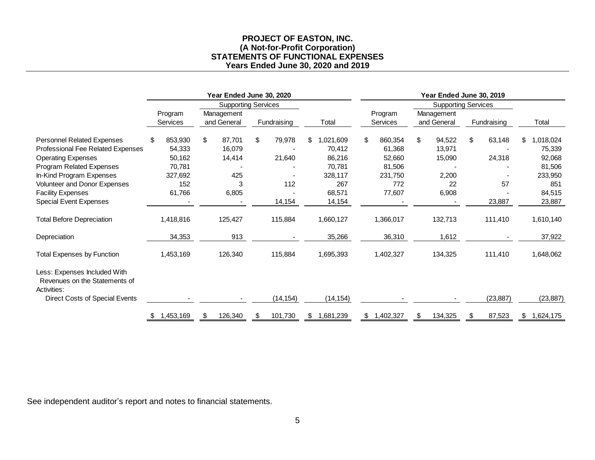#### **PROJECT OF EASTON, INC. (A Not-for-Profit Corporation) STATEMENTS OF FUNCTIONAL EXPENSES Years Ended June 30, 2020 and 2019**

|                                                                              | Year Ended June 30, 2020 |           |                            |             |    |             |    |           | Year Ended June 30, 2019 |           |                            |             |    |             |    |           |
|------------------------------------------------------------------------------|--------------------------|-----------|----------------------------|-------------|----|-------------|----|-----------|--------------------------|-----------|----------------------------|-------------|----|-------------|----|-----------|
|                                                                              |                          |           | <b>Supporting Services</b> |             |    |             |    |           |                          |           | <b>Supporting Services</b> |             |    |             |    |           |
|                                                                              |                          | Program   |                            | Management  |    |             |    |           |                          | Program   |                            | Management  |    |             |    |           |
|                                                                              |                          | Services  |                            | and General |    | Fundraising |    | Total     |                          | Services  |                            | and General |    | Fundraising |    | Total     |
| Personnel Related Expenses                                                   | \$                       | 853,930   | \$                         | 87,701      | \$ | 79,978      | \$ | 1,021,609 | \$                       | 860,354   | \$                         | 94,522      | \$ | 63,148      | \$ | 1,018,024 |
| Professional Fee Related Expenses                                            |                          | 54,333    |                            | 16,079      |    |             |    | 70,412    |                          | 61,368    |                            | 13,971      |    |             |    | 75,339    |
| <b>Operating Expenses</b>                                                    |                          | 50,162    |                            | 14,414      |    | 21,640      |    | 86,216    |                          | 52,660    |                            | 15,090      |    | 24,318      |    | 92,068    |
| Program Related Expenses                                                     |                          | 70,781    |                            |             |    |             |    | 70,781    |                          | 81,506    |                            |             |    |             |    | 81,506    |
| In-Kind Program Expenses                                                     |                          | 327,692   |                            | 425         |    |             |    | 328,117   |                          | 231,750   |                            | 2,200       |    |             |    | 233,950   |
| Volunteer and Donor Expenses                                                 |                          | 152       |                            | 3           |    | 112         |    | 267       |                          | 772       |                            | 22          |    | 57          |    | 851       |
| <b>Facility Expenses</b>                                                     |                          | 61,766    |                            | 6,805       |    |             |    | 68,571    |                          | 77,607    |                            | 6,908       |    |             |    | 84,515    |
| <b>Special Event Expenses</b>                                                |                          |           |                            |             |    | 14,154      |    | 14,154    |                          |           |                            |             |    | 23,887      |    | 23,887    |
| <b>Total Before Depreciation</b>                                             |                          | 1,418,816 |                            | 125,427     |    | 115,884     |    | 1,660,127 |                          | 1,366,017 |                            | 132,713     |    | 111,410     |    | 1,610,140 |
| Depreciation                                                                 |                          | 34,353    |                            | 913         |    |             |    | 35,266    |                          | 36,310    |                            | 1,612       |    |             |    | 37,922    |
| <b>Total Expenses by Function</b>                                            |                          | 1,453,169 |                            | 126,340     |    | 115,884     |    | 1,695,393 |                          | 1,402,327 |                            | 134,325     |    | 111,410     |    | 1,648,062 |
| Less: Expenses Included With<br>Revenues on the Statements of<br>Activities: |                          |           |                            |             |    |             |    |           |                          |           |                            |             |    |             |    |           |
| Direct Costs of Special Events                                               |                          |           |                            |             |    | (14, 154)   |    | (14, 154) |                          |           |                            |             |    | (23, 887)   |    | (23, 887) |
|                                                                              |                          | 1,453,169 | S.                         | 126,340     | \$ | 101,730     | S. | 1,681,239 | \$                       | 1,402,327 | \$                         | 134,325     | S. | 87,523      | \$ | 1,624,175 |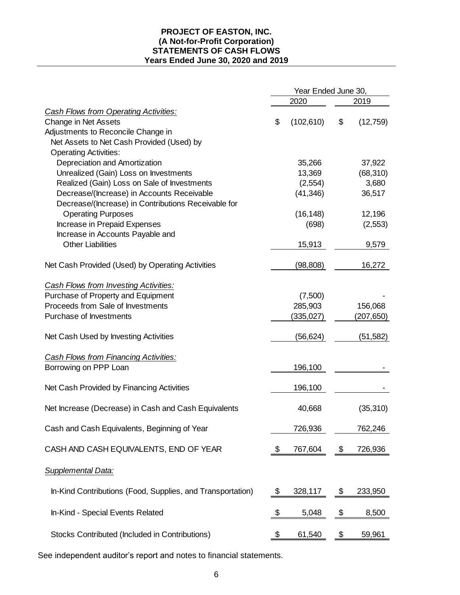## **PROJECT OF EASTON, INC. (A Not-for-Profit Corporation) STATEMENTS OF CASH FLOWS Years Ended June 30, 2020 and 2019**

|                                                            | Year Ended June 30, |            |               |            |  |
|------------------------------------------------------------|---------------------|------------|---------------|------------|--|
|                                                            |                     | 2020       |               | 2019       |  |
| Cash Flows from Operating Activities:                      |                     |            |               |            |  |
| Change in Net Assets                                       | \$                  | (102, 610) | \$            | (12,759)   |  |
| Adjustments to Reconcile Change in                         |                     |            |               |            |  |
| Net Assets to Net Cash Provided (Used) by                  |                     |            |               |            |  |
| <b>Operating Activities:</b>                               |                     |            |               |            |  |
| Depreciation and Amortization                              |                     | 35,266     |               | 37,922     |  |
| Unrealized (Gain) Loss on Investments                      |                     | 13,369     |               | (68, 310)  |  |
| Realized (Gain) Loss on Sale of Investments                |                     | (2,554)    |               | 3,680      |  |
| Decrease/(Increase) in Accounts Receivable                 |                     | (41, 346)  |               | 36,517     |  |
| Decrease/(Increase) in Contributions Receivable for        |                     |            |               |            |  |
| <b>Operating Purposes</b>                                  |                     | (16, 148)  |               | 12,196     |  |
| Increase in Prepaid Expenses                               |                     | (698)      |               | (2, 553)   |  |
| Increase in Accounts Payable and                           |                     |            |               |            |  |
| <b>Other Liabilities</b>                                   |                     | 15,913     |               | 9,579      |  |
| Net Cash Provided (Used) by Operating Activities           |                     | (98, 808)  |               | 16,272     |  |
| Cash Flows from Investing Activities:                      |                     |            |               |            |  |
| Purchase of Property and Equipment                         |                     | (7,500)    |               |            |  |
| Proceeds from Sale of Investments                          |                     | 285,903    |               | 156,068    |  |
| Purchase of Investments                                    |                     | (335, 027) |               | (207, 650) |  |
| Net Cash Used by Investing Activities                      |                     | (56,624)   |               | (51, 582)  |  |
| <b>Cash Flows from Financing Activities:</b>               |                     |            |               |            |  |
| Borrowing on PPP Loan                                      |                     | 196,100    |               |            |  |
| Net Cash Provided by Financing Activities                  |                     | 196,100    |               |            |  |
| Net Increase (Decrease) in Cash and Cash Equivalents       |                     | 40,668     |               | (35, 310)  |  |
| Cash and Cash Equivalents, Beginning of Year               |                     | 726,936    |               | 762,246    |  |
| CASH AND CASH EQUIVALENTS, END OF YEAR                     | \$                  | 767,604    | \$            | 726,936    |  |
| Supplemental Data:                                         |                     |            |               |            |  |
| In-Kind Contributions (Food, Supplies, and Transportation) | \$                  | 328,117    | \$            | 233,950    |  |
|                                                            |                     |            |               |            |  |
| In-Kind - Special Events Related                           | \$                  | 5,048      | \$            | 8,500      |  |
| Stocks Contributed (Included in Contributions)             | \$                  | 61,540     | $\frac{1}{2}$ | 59,961     |  |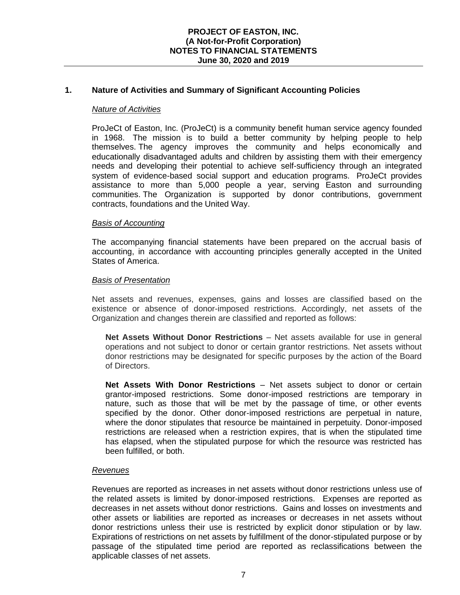## **1. Nature of Activities and Summary of Significant Accounting Policies**

### *Nature of Activities*

ProJeCt of Easton, Inc. (ProJeCt) is a community benefit human service agency founded in 1968. The mission is to build a better community by helping people to help themselves. The agency improves the community and helps economically and educationally disadvantaged adults and children by assisting them with their emergency needs and developing their potential to achieve self-sufficiency through an integrated system of evidence-based social support and education programs. ProJeCt provides assistance to more than 5,000 people a year, serving Easton and surrounding communities. The Organization is supported by donor contributions, government contracts, foundations and the United Way.

### *Basis of Accounting*

The accompanying financial statements have been prepared on the accrual basis of accounting, in accordance with accounting principles generally accepted in the United States of America.

### *Basis of Presentation*

Net assets and revenues, expenses, gains and losses are classified based on the existence or absence of donor-imposed restrictions. Accordingly, net assets of the Organization and changes therein are classified and reported as follows:

**Net Assets Without Donor Restrictions** – Net assets available for use in general operations and not subject to donor or certain grantor restrictions. Net assets without donor restrictions may be designated for specific purposes by the action of the Board of Directors.

**Net Assets With Donor Restrictions** – Net assets subject to donor or certain grantor-imposed restrictions. Some donor-imposed restrictions are temporary in nature, such as those that will be met by the passage of time, or other events specified by the donor. Other donor-imposed restrictions are perpetual in nature, where the donor stipulates that resource be maintained in perpetuity. Donor-imposed restrictions are released when a restriction expires, that is when the stipulated time has elapsed, when the stipulated purpose for which the resource was restricted has been fulfilled, or both.

## *Revenues*

Revenues are reported as increases in net assets without donor restrictions unless use of the related assets is limited by donor-imposed restrictions. Expenses are reported as decreases in net assets without donor restrictions. Gains and losses on investments and other assets or liabilities are reported as increases or decreases in net assets without donor restrictions unless their use is restricted by explicit donor stipulation or by law. Expirations of restrictions on net assets by fulfillment of the donor-stipulated purpose or by passage of the stipulated time period are reported as reclassifications between the applicable classes of net assets.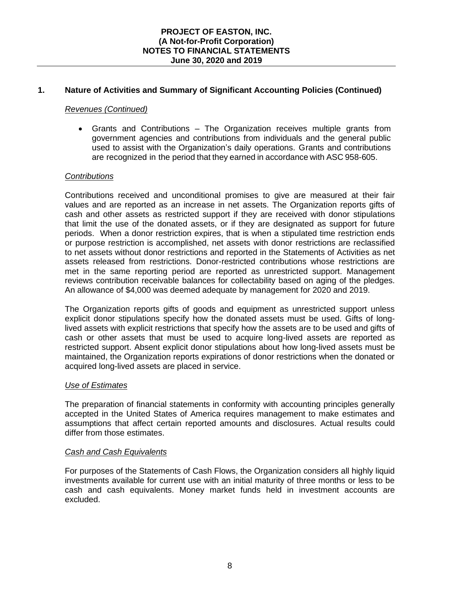# **1. Nature of Activities and Summary of Significant Accounting Policies (Continued)**

## *Revenues (Continued)*

• Grants and Contributions – The Organization receives multiple grants from government agencies and contributions from individuals and the general public used to assist with the Organization's daily operations. Grants and contributions are recognized in the period that they earned in accordance with ASC 958-605.

## *Contributions*

Contributions received and unconditional promises to give are measured at their fair values and are reported as an increase in net assets. The Organization reports gifts of cash and other assets as restricted support if they are received with donor stipulations that limit the use of the donated assets, or if they are designated as support for future periods. When a donor restriction expires, that is when a stipulated time restriction ends or purpose restriction is accomplished, net assets with donor restrictions are reclassified to net assets without donor restrictions and reported in the Statements of Activities as net assets released from restrictions. Donor-restricted contributions whose restrictions are met in the same reporting period are reported as unrestricted support. Management reviews contribution receivable balances for collectability based on aging of the pledges. An allowance of \$4,000 was deemed adequate by management for 2020 and 2019.

The Organization reports gifts of goods and equipment as unrestricted support unless explicit donor stipulations specify how the donated assets must be used. Gifts of longlived assets with explicit restrictions that specify how the assets are to be used and gifts of cash or other assets that must be used to acquire long-lived assets are reported as restricted support. Absent explicit donor stipulations about how long-lived assets must be maintained, the Organization reports expirations of donor restrictions when the donated or acquired long-lived assets are placed in service.

## *Use of Estimates*

The preparation of financial statements in conformity with accounting principles generally accepted in the United States of America requires management to make estimates and assumptions that affect certain reported amounts and disclosures. Actual results could differ from those estimates.

## *Cash and Cash Equivalents*

For purposes of the Statements of Cash Flows, the Organization considers all highly liquid investments available for current use with an initial maturity of three months or less to be cash and cash equivalents. Money market funds held in investment accounts are excluded.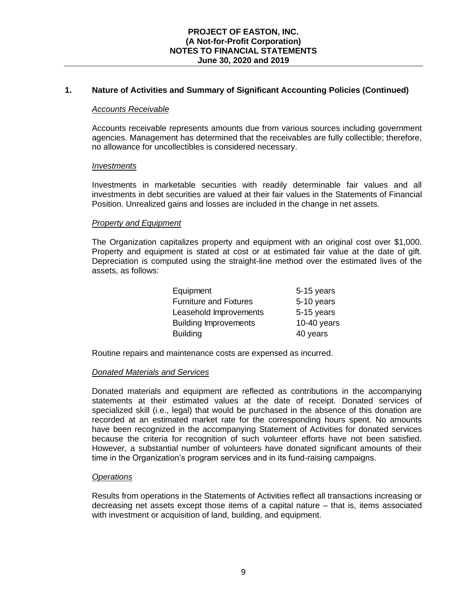## **1. Nature of Activities and Summary of Significant Accounting Policies (Continued)**

## *Accounts Receivable*

Accounts receivable represents amounts due from various sources including government agencies. Management has determined that the receivables are fully collectible; therefore, no allowance for uncollectibles is considered necessary.

### *Investments*

Investments in marketable securities with readily determinable fair values and all investments in debt securities are valued at their fair values in the Statements of Financial Position. Unrealized gains and losses are included in the change in net assets.

### *Property and Equipment*

The Organization capitalizes property and equipment with an original cost over \$1,000. Property and equipment is stated at cost or at estimated fair value at the date of gift. Depreciation is computed using the straight-line method over the estimated lives of the assets, as follows:

| Equipment                     | 5-15 years  |
|-------------------------------|-------------|
| <b>Furniture and Fixtures</b> | 5-10 years  |
| Leasehold Improvements        | 5-15 years  |
| <b>Building Improvements</b>  | 10-40 years |
| <b>Building</b>               | 40 years    |

Routine repairs and maintenance costs are expensed as incurred.

#### *Donated Materials and Services*

Donated materials and equipment are reflected as contributions in the accompanying statements at their estimated values at the date of receipt. Donated services of specialized skill (i.e., legal) that would be purchased in the absence of this donation are recorded at an estimated market rate for the corresponding hours spent. No amounts have been recognized in the accompanying Statement of Activities for donated services because the criteria for recognition of such volunteer efforts have not been satisfied. However, a substantial number of volunteers have donated significant amounts of their time in the Organization's program services and in its fund-raising campaigns.

### *Operations*

Results from operations in the Statements of Activities reflect all transactions increasing or decreasing net assets except those items of a capital nature – that is, items associated with investment or acquisition of land, building, and equipment.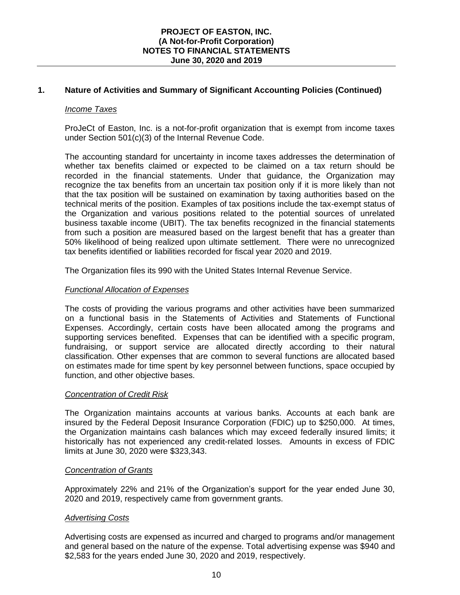## **PROJECT OF EASTON, INC. (A Not-for-Profit Corporation) NOTES TO FINANCIAL STATEMENTS June 30, 2020 and 2019**

# **1. Nature of Activities and Summary of Significant Accounting Policies (Continued)**

## *Income Taxes*

ProJeCt of Easton, Inc. is a not-for-profit organization that is exempt from income taxes under Section 501(c)(3) of the Internal Revenue Code.

The accounting standard for uncertainty in income taxes addresses the determination of whether tax benefits claimed or expected to be claimed on a tax return should be recorded in the financial statements. Under that guidance, the Organization may recognize the tax benefits from an uncertain tax position only if it is more likely than not that the tax position will be sustained on examination by taxing authorities based on the technical merits of the position. Examples of tax positions include the tax-exempt status of the Organization and various positions related to the potential sources of unrelated business taxable income (UBIT). The tax benefits recognized in the financial statements from such a position are measured based on the largest benefit that has a greater than 50% likelihood of being realized upon ultimate settlement. There were no unrecognized tax benefits identified or liabilities recorded for fiscal year 2020 and 2019.

The Organization files its 990 with the United States Internal Revenue Service.

## *Functional Allocation of Expenses*

The costs of providing the various programs and other activities have been summarized on a functional basis in the Statements of Activities and Statements of Functional Expenses. Accordingly, certain costs have been allocated among the programs and supporting services benefited. Expenses that can be identified with a specific program, fundraising, or support service are allocated directly according to their natural classification. Other expenses that are common to several functions are allocated based on estimates made for time spent by key personnel between functions, space occupied by function, and other objective bases.

## *Concentration of Credit Risk*

The Organization maintains accounts at various banks. Accounts at each bank are insured by the Federal Deposit Insurance Corporation (FDIC) up to \$250,000. At times, the Organization maintains cash balances which may exceed federally insured limits; it historically has not experienced any credit-related losses. Amounts in excess of FDIC limits at June 30, 2020 were \$323,343.

### *Concentration of Grants*

Approximately 22% and 21% of the Organization's support for the year ended June 30, 2020 and 2019, respectively came from government grants.

## *Advertising Costs*

Advertising costs are expensed as incurred and charged to programs and/or management and general based on the nature of the expense. Total advertising expense was \$940 and \$2,583 for the years ended June 30, 2020 and 2019, respectively.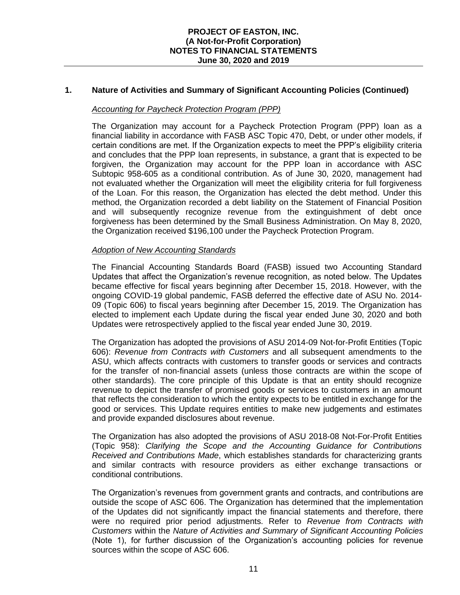# **1. Nature of Activities and Summary of Significant Accounting Policies (Continued)**

## *Accounting for Paycheck Protection Program (PPP)*

The Organization may account for a Paycheck Protection Program (PPP) loan as a financial liability in accordance with FASB ASC Topic 470, Debt, or under other models, if certain conditions are met. If the Organization expects to meet the PPP's eligibility criteria and concludes that the PPP loan represents, in substance, a grant that is expected to be forgiven, the Organization may account for the PPP loan in accordance with ASC Subtopic 958-605 as a conditional contribution. As of June 30, 2020, management had not evaluated whether the Organization will meet the eligibility criteria for full forgiveness of the Loan. For this reason, the Organization has elected the debt method. Under this method, the Organization recorded a debt liability on the Statement of Financial Position and will subsequently recognize revenue from the extinguishment of debt once forgiveness has been determined by the Small Business Administration. On May 8, 2020, the Organization received \$196,100 under the Paycheck Protection Program.

## *Adoption of New Accounting Standards*

The Financial Accounting Standards Board (FASB) issued two Accounting Standard Updates that affect the Organization's revenue recognition, as noted below. The Updates became effective for fiscal years beginning after December 15, 2018. However, with the ongoing COVID-19 global pandemic, FASB deferred the effective date of ASU No. 2014- 09 (Topic 606) to fiscal years beginning after December 15, 2019. The Organization has elected to implement each Update during the fiscal year ended June 30, 2020 and both Updates were retrospectively applied to the fiscal year ended June 30, 2019.

The Organization has adopted the provisions of ASU 2014-09 Not-for-Profit Entities (Topic 606): *Revenue from Contracts with Customers* and all subsequent amendments to the ASU, which affects contracts with customers to transfer goods or services and contracts for the transfer of non-financial assets (unless those contracts are within the scope of other standards). The core principle of this Update is that an entity should recognize revenue to depict the transfer of promised goods or services to customers in an amount that reflects the consideration to which the entity expects to be entitled in exchange for the good or services. This Update requires entities to make new judgements and estimates and provide expanded disclosures about revenue.

The Organization has also adopted the provisions of ASU 2018-08 Not-For-Profit Entities (Topic 958): *Clarifying the Scope and the Accounting Guidance for Contributions Received and Contributions Made*, which establishes standards for characterizing grants and similar contracts with resource providers as either exchange transactions or conditional contributions.

The Organization's revenues from government grants and contracts, and contributions are outside the scope of ASC 606. The Organization has determined that the implementation of the Updates did not significantly impact the financial statements and therefore, there were no required prior period adjustments. Refer to *Revenue from Contracts with Customers* within the *Nature of Activities and Summary of Significant Accounting Policies* (Note 1), for further discussion of the Organization's accounting policies for revenue sources within the scope of ASC 606.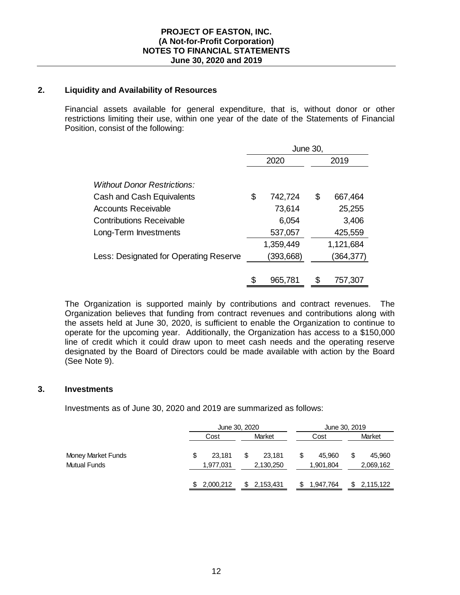## **2. Liquidity and Availability of Resources**

Financial assets available for general expenditure, that is, without donor or other restrictions limiting their use, within one year of the date of the Statements of Financial Position, consist of the following:

|                                        | June 30, |           |    |           |  |  |  |
|----------------------------------------|----------|-----------|----|-----------|--|--|--|
|                                        |          | 2020      |    | 2019      |  |  |  |
| Without Donor Restrictions:            |          |           |    |           |  |  |  |
| Cash and Cash Equivalents              | \$       | 742,724   | \$ | 667,464   |  |  |  |
| <b>Accounts Receivable</b>             |          | 73,614    |    | 25,255    |  |  |  |
| <b>Contributions Receivable</b>        |          | 6,054     |    | 3,406     |  |  |  |
| Long-Term Investments                  |          | 537,057   |    | 425,559   |  |  |  |
|                                        |          | 1,359,449 |    | 1,121,684 |  |  |  |
| Less: Designated for Operating Reserve |          | (393,668) |    | (364,377) |  |  |  |
|                                        |          |           |    |           |  |  |  |
|                                        |          | 965,781   |    | 757,307   |  |  |  |

The Organization is supported mainly by contributions and contract revenues. The Organization believes that funding from contract revenues and contributions along with the assets held at June 30, 2020, is sufficient to enable the Organization to continue to operate for the upcoming year. Additionally, the Organization has access to a \$150,000 line of credit which it could draw upon to meet cash needs and the operating reserve designated by the Board of Directors could be made available with action by the Board (See Note 9).

### **3. Investments**

Investments as of June 30, 2020 and 2019 are summarized as follows:

|                                    |                           | June 30, 2020             |                     | June 30, 2019            |
|------------------------------------|---------------------------|---------------------------|---------------------|--------------------------|
|                                    | Market<br>Cost            |                           | Cost                | Market                   |
| Money Market Funds<br>Mutual Funds | 23.181<br>\$<br>1,977,031 | 23.181<br>\$<br>2,130,250 | 45.960<br>1,901,804 | 45,960<br>S<br>2,069,162 |
|                                    | 2,000,212                 | \$2,153,431               | 1.947.764           | 2,115,122<br>S           |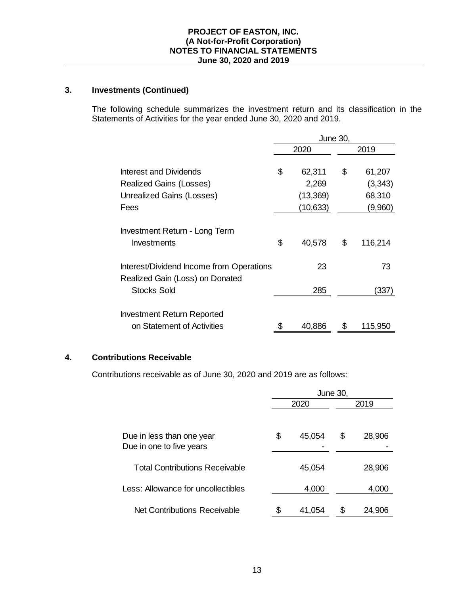## **PROJECT OF EASTON, INC. (A Not-for-Profit Corporation) NOTES TO FINANCIAL STATEMENTS June 30, 2020 and 2019**

# **3. Investments (Continued)**

The following schedule summarizes the investment return and its classification in the Statements of Activities for the year ended June 30, 2020 and 2019.

|                                                                                                             | <b>June 30,</b> |                                           |    |                                        |  |  |  |
|-------------------------------------------------------------------------------------------------------------|-----------------|-------------------------------------------|----|----------------------------------------|--|--|--|
|                                                                                                             |                 | 2020                                      |    | 2019                                   |  |  |  |
| <b>Interest and Dividends</b><br><b>Realized Gains (Losses)</b><br><b>Unrealized Gains (Losses)</b><br>Fees | \$              | 62,311<br>2,269<br>(13, 369)<br>(10, 633) | \$ | 61,207<br>(3,343)<br>68,310<br>(9,960) |  |  |  |
| <b>Investment Return - Long Term</b><br><b>Investments</b>                                                  | \$              | 40,578                                    | \$ | 116,214                                |  |  |  |
| Interest/Dividend Income from Operations<br>Realized Gain (Loss) on Donated                                 |                 | 23                                        |    | 73                                     |  |  |  |
| Stocks Sold                                                                                                 |                 | 285                                       |    | (337)                                  |  |  |  |
| <b>Investment Return Reported</b><br>on Statement of Activities                                             |                 | 40,886                                    |    | 115,950                                |  |  |  |

# **4. Contributions Receivable**

Contributions receivable as of June 30, 2020 and 2019 are as follows:

|                                       | June 30, |        |      |        |  |  |  |
|---------------------------------------|----------|--------|------|--------|--|--|--|
|                                       |          | 2020   | 2019 |        |  |  |  |
|                                       |          |        |      |        |  |  |  |
| Due in less than one year             | \$       | 45,054 | \$   | 28,906 |  |  |  |
| Due in one to five years              |          |        |      |        |  |  |  |
| <b>Total Contributions Receivable</b> |          | 45,054 |      | 28,906 |  |  |  |
| Less: Allowance for uncollectibles    |          | 4,000  |      | 4,000  |  |  |  |
| Net Contributions Receivable          |          | 41,054 |      | 24,906 |  |  |  |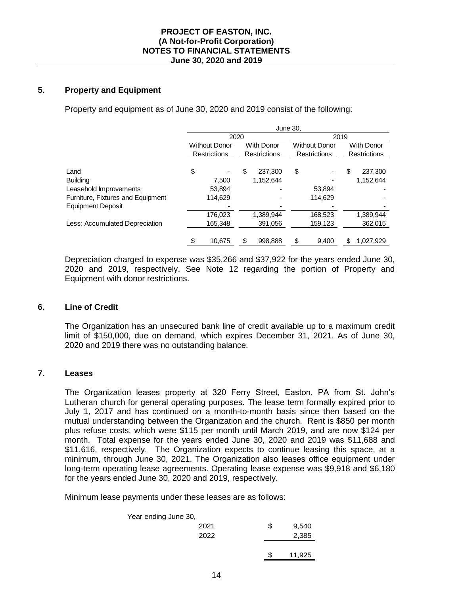## **5. Property and Equipment**

Property and equipment as of June 30, 2020 and 2019 consist of the following:

|                                   | June 30. |                      |                   |                     |      |                      |   |                     |  |  |
|-----------------------------------|----------|----------------------|-------------------|---------------------|------|----------------------|---|---------------------|--|--|
|                                   |          | 2020                 |                   |                     | 2019 |                      |   |                     |  |  |
|                                   |          | <b>Without Donor</b> | <b>With Donor</b> |                     |      | <b>Without Donor</b> |   | <b>With Donor</b>   |  |  |
|                                   |          | <b>Restrictions</b>  |                   | <b>Restrictions</b> |      | <b>Restrictions</b>  |   | <b>Restrictions</b> |  |  |
| Land                              | \$       |                      | S                 | 237.300             | \$   |                      | S | 237.300             |  |  |
| <b>Building</b>                   |          | 7.500                |                   | 1,152,644           |      |                      |   | 1,152,644           |  |  |
| Leasehold Improvements            |          | 53.894               |                   |                     |      | 53.894               |   |                     |  |  |
| Furniture, Fixtures and Equipment |          | 114,629              |                   |                     |      | 114,629              |   |                     |  |  |
| <b>Equipment Deposit</b>          |          |                      |                   |                     |      |                      |   |                     |  |  |
|                                   |          | 176,023              |                   | 1,389,944           |      | 168,523              |   | 1,389,944           |  |  |
| Less: Accumulated Depreciation    |          | 165,348              |                   | 391,056             |      | 159,123              |   | 362,015             |  |  |
|                                   |          | 10,675               |                   | 998,888             | \$   | 9,400                | S | 1,027,929           |  |  |

Depreciation charged to expense was \$35,266 and \$37,922 for the years ended June 30, 2020 and 2019, respectively. See Note 12 regarding the portion of Property and Equipment with donor restrictions.

### **6. Line of Credit**

The Organization has an unsecured bank line of credit available up to a maximum credit limit of \$150,000, due on demand, which expires December 31, 2021. As of June 30, 2020 and 2019 there was no outstanding balance.

### **7. Leases**

The Organization leases property at 320 Ferry Street, Easton, PA from St. John's Lutheran church for general operating purposes. The lease term formally expired prior to July 1, 2017 and has continued on a month-to-month basis since then based on the mutual understanding between the Organization and the church. Rent is \$850 per month plus refuse costs, which were \$115 per month until March 2019, and are now \$124 per month. Total expense for the years ended June 30, 2020 and 2019 was \$11,688 and \$11,616, respectively. The Organization expects to continue leasing this space, at a minimum, through June 30, 2021. The Organization also leases office equipment under long-term operating lease agreements. Operating lease expense was \$9,918 and \$6,180 for the years ended June 30, 2020 and 2019, respectively.

Minimum lease payments under these leases are as follows:

| Year ending June 30, |   |        |
|----------------------|---|--------|
| 2021                 | S | 9,540  |
| 2022                 |   | 2,385  |
|                      |   |        |
|                      | S | 11,925 |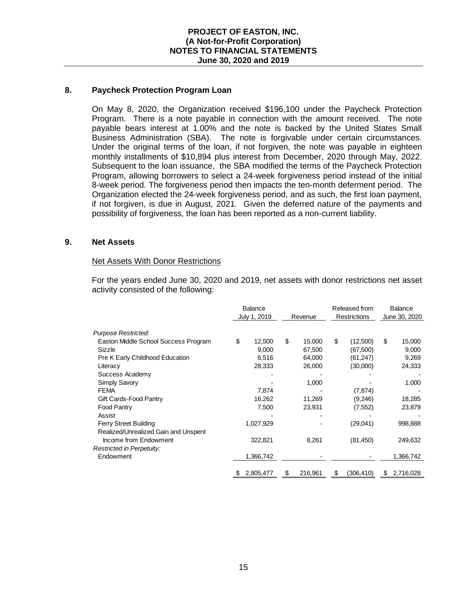## **8. Paycheck Protection Program Loan**

On May 8, 2020, the Organization received \$196,100 under the Paycheck Protection Program. There is a note payable in connection with the amount received. The note payable bears interest at 1.00% and the note is backed by the United States Small Business Administration (SBA). The note is forgivable under certain circumstances. Under the original terms of the loan, if not forgiven, the note was payable in eighteen monthly installments of \$10,894 plus interest from December, 2020 through May, 2022. Subsequent to the loan issuance, the SBA modified the terms of the Paycheck Protection Program, allowing borrowers to select a 24-week forgiveness period instead of the initial 8-week period. The forgiveness period then impacts the ten-month deferment period. The Organization elected the 24-week forgiveness period, and as such, the first loan payment, if not forgiven, is due in August, 2021. Given the deferred nature of the payments and possibility of forgiveness, the loan has been reported as a non-current liability.

### **9. Net Assets**

### Net Assets With Donor Restrictions

For the years ended June 30, 2020 and 2019, net assets with donor restrictions net asset activity consisted of the following:

|                                      | <b>Balance</b><br>July 1, 2019 |              | Revenue |    | Released from<br><b>Restrictions</b> |    | <b>Balance</b><br>June 30, 2020 |  |
|--------------------------------------|--------------------------------|--------------|---------|----|--------------------------------------|----|---------------------------------|--|
| Purpose Restricted:                  |                                |              |         |    |                                      |    |                                 |  |
| Easton Middle School Success Program | \$                             | \$<br>12,500 | 15,000  | \$ | (12,500)                             | \$ | 15,000                          |  |
| Sizzle                               |                                | 9,000        | 67,500  |    | (67,500)                             |    | 9,000                           |  |
| Pre K Early Childhood Education      |                                | 6,516        | 64,000  |    | (61, 247)                            |    | 9,269                           |  |
| Literacy                             |                                | 28,333       | 26,000  |    | (30,000)                             |    | 24,333                          |  |
| Success Academy                      |                                |              |         |    |                                      |    |                                 |  |
| Simply Savory                        |                                |              | 1,000   |    |                                      |    | 1,000                           |  |
| <b>FEMA</b>                          |                                | 7,874        |         |    | (7, 874)                             |    |                                 |  |
| Gift Cards-Food Pantry               |                                | 16,262       | 11,269  |    | (9,246)                              |    | 18,285                          |  |
| <b>Food Pantry</b>                   |                                | 7,500        | 23,931  |    | (7, 552)                             |    | 23,879                          |  |
|                                      |                                |              |         |    |                                      |    |                                 |  |
| Assist                               |                                |              |         |    |                                      |    |                                 |  |
| <b>Ferry Street Building</b>         | 1,027,929                      |              |         |    | (29,041)                             |    | 998,888                         |  |
| Realized/Unrealized Gain and Unspent |                                |              |         |    |                                      |    |                                 |  |
| Income from Endowment                | 322,821                        |              | 8,261   |    | (81, 450)                            |    | 249,632                         |  |
| <b>Restricted in Perpetuity:</b>     |                                |              |         |    |                                      |    |                                 |  |
| Endowment                            | 1,366,742                      |              |         |    |                                      |    | 1,366,742                       |  |
|                                      |                                |              |         |    |                                      |    |                                 |  |
|                                      | 2,805,477<br>S                 | \$           | 216,961 | \$ | (306,410)                            | S  | 2,716,028                       |  |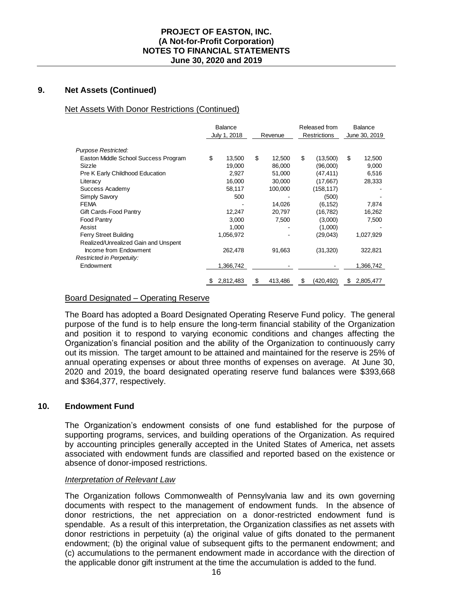## **9. Net Assets (Continued)**

## Net Assets With Donor Restrictions (Continued)

|                                      | <b>Balance</b><br>July 1, 2018 | Revenue      | Released from<br><b>Restrictions</b> | <b>Balance</b><br>June 30, 2019 |  |
|--------------------------------------|--------------------------------|--------------|--------------------------------------|---------------------------------|--|
| <b>Purpose Restricted:</b>           |                                |              |                                      |                                 |  |
| Easton Middle School Success Program | \$<br>13,500                   | \$<br>12,500 | \$<br>(13,500)                       | \$<br>12,500                    |  |
| Sizzle                               | 19,000                         | 86,000       | (96,000)                             | 9,000                           |  |
| Pre K Early Childhood Education      | 2,927                          | 51,000       | (47, 411)                            | 6,516                           |  |
| Literacy                             | 16,000                         | 30,000       | (17,667)                             | 28,333                          |  |
| Success Academy                      | 58,117                         | 100,000      | (158, 117)                           |                                 |  |
| Simply Savory                        | 500                            |              | (500)                                |                                 |  |
| <b>FEMA</b>                          |                                | 14,026       | (6, 152)                             | 7,874                           |  |
| Gift Cards-Food Pantry               | 12,247                         | 20,797       | (16, 782)                            | 16,262                          |  |
| Food Pantry                          | 3,000                          | 7,500        | (3,000)                              | 7,500                           |  |
| Assist                               | 1,000                          |              | (1,000)                              |                                 |  |
| <b>Ferry Street Building</b>         | 1,056,972                      |              | (29,043)                             | 1,027,929                       |  |
| Realized/Unrealized Gain and Unspent |                                |              |                                      |                                 |  |
| Income from Endowment                | 262,478                        | 91,663       | (31, 320)                            | 322,821                         |  |
| Restricted in Perpetuity:            |                                |              |                                      |                                 |  |
| Endowment                            | 1,366,742                      |              |                                      | 1,366,742                       |  |
|                                      | 2,812,483<br>P                 | 413,486      | (420,492)                            | 2,805,477                       |  |
|                                      |                                |              |                                      |                                 |  |

### Board Designated – Operating Reserve

The Board has adopted a Board Designated Operating Reserve Fund policy. The general purpose of the fund is to help ensure the long-term financial stability of the Organization and position it to respond to varying economic conditions and changes affecting the Organization's financial position and the ability of the Organization to continuously carry out its mission. The target amount to be attained and maintained for the reserve is 25% of annual operating expenses or about three months of expenses on average. At June 30, 2020 and 2019, the board designated operating reserve fund balances were \$393,668 and \$364,377, respectively.

### **10. Endowment Fund**

The Organization's endowment consists of one fund established for the purpose of supporting programs, services, and building operations of the Organization. As required by accounting principles generally accepted in the United States of America, net assets associated with endowment funds are classified and reported based on the existence or absence of donor-imposed restrictions.

#### *Interpretation of Relevant Law*

The Organization follows Commonwealth of Pennsylvania law and its own governing documents with respect to the management of endowment funds. In the absence of donor restrictions, the net appreciation on a donor-restricted endowment fund is spendable. As a result of this interpretation, the Organization classifies as net assets with donor restrictions in perpetuity (a) the original value of gifts donated to the permanent endowment; (b) the original value of subsequent gifts to the permanent endowment; and (c) accumulations to the permanent endowment made in accordance with the direction of the applicable donor gift instrument at the time the accumulation is added to the fund.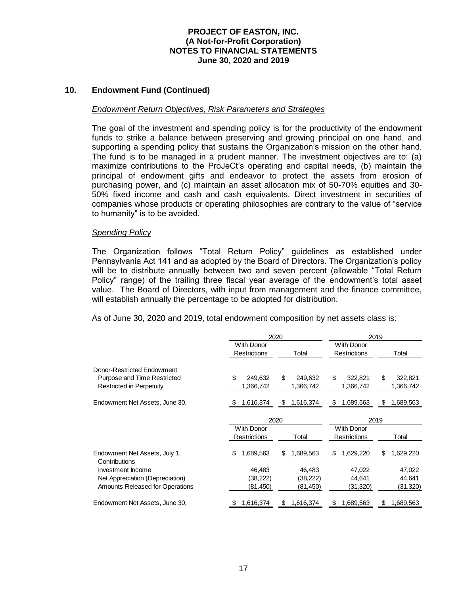# **10. Endowment Fund (Continued)**

## *Endowment Return Objectives, Risk Parameters and Strategies*

The goal of the investment and spending policy is for the productivity of the endowment funds to strike a balance between preserving and growing principal on one hand, and supporting a spending policy that sustains the Organization's mission on the other hand. The fund is to be managed in a prudent manner. The investment objectives are to: (a) maximize contributions to the ProJeCt's operating and capital needs, (b) maintain the principal of endowment gifts and endeavor to protect the assets from erosion of purchasing power, and (c) maintain an asset allocation mix of 50-70% equities and 30- 50% fixed income and cash and cash equivalents. Direct investment in securities of companies whose products or operating philosophies are contrary to the value of "service to humanity" is to be avoided.

## *Spending Policy*

The Organization follows "Total Return Policy" guidelines as established under Pennsylvania Act 141 and as adopted by the Board of Directors. The Organization's policy will be to distribute annually between two and seven percent (allowable "Total Return Policy" range) of the trailing three fiscal year average of the endowment's total asset value. The Board of Directors, with input from management and the finance committee, will establish annually the percentage to be adopted for distribution.

As of June 30, 2020 and 2019, total endowment composition by net assets class is:

|                                                                                              |                            | 2020                       | 2019                       |                            |  |  |
|----------------------------------------------------------------------------------------------|----------------------------|----------------------------|----------------------------|----------------------------|--|--|
|                                                                                              | <b>With Donor</b>          |                            | <b>With Donor</b>          |                            |  |  |
|                                                                                              | Restrictions               | Total                      | <b>Restrictions</b>        | Total                      |  |  |
| Donor-Restricted Endowment<br>Purpose and Time Restricted<br><b>Restricted in Perpetuity</b> | \$<br>249,632<br>1,366,742 | 249,632<br>£.<br>1,366,742 | \$<br>322,821<br>1,366,742 | \$<br>322,821<br>1,366,742 |  |  |
| Endowment Net Assets, June 30,                                                               | 1,616,374<br>-S            | S<br>1,616,374             | S<br>1,689,563             | 1,689,563<br>S             |  |  |
|                                                                                              |                            | 2020                       | 2019                       |                            |  |  |
|                                                                                              | <b>With Donor</b>          |                            | <b>With Donor</b>          |                            |  |  |
|                                                                                              | <b>Restrictions</b>        | Total                      | <b>Restrictions</b>        | Total                      |  |  |
| Endowment Net Assets, July 1,<br>Contributions                                               | \$<br>1,689,563            | S<br>1,689,563             | \$<br>1,629,220            | \$<br>1,629,220            |  |  |
| Investment Income                                                                            | 46,483                     | 46,483                     | 47,022                     | 47,022                     |  |  |
| Net Appreciation (Depreciation)                                                              | (38, 222)                  | (38, 222)                  | 44,641                     | 44,641                     |  |  |
| Amounts Released for Operations                                                              | (81,450)                   | (81,450)                   | (31,320)                   | (31,320)                   |  |  |
| Endowment Net Assets, June 30,                                                               | 1,616,374                  | 1,616,374<br>S             | 1,689,563<br>S             | 1,689,563<br>S.            |  |  |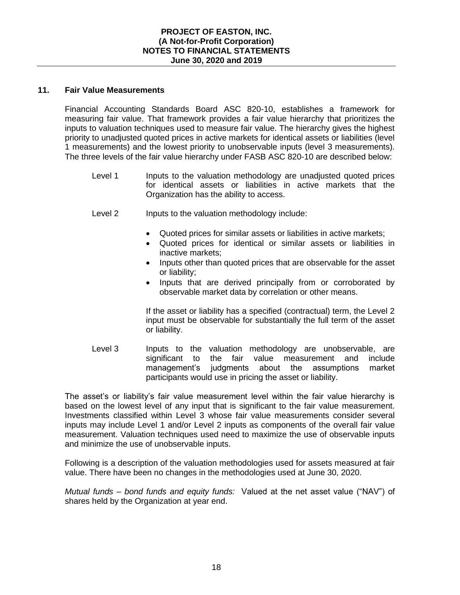## **PROJECT OF EASTON, INC. (A Not-for-Profit Corporation) NOTES TO FINANCIAL STATEMENTS June 30, 2020 and 2019**

## **11. Fair Value Measurements**

Financial Accounting Standards Board ASC 820-10, establishes a framework for measuring fair value. That framework provides a fair value hierarchy that prioritizes the inputs to valuation techniques used to measure fair value. The hierarchy gives the highest priority to unadjusted quoted prices in active markets for identical assets or liabilities (level 1 measurements) and the lowest priority to unobservable inputs (level 3 measurements). The three levels of the fair value hierarchy under FASB ASC 820-10 are described below:

- Level 1 Inputs to the valuation methodology are unadjusted quoted prices for identical assets or liabilities in active markets that the Organization has the ability to access.
- Level 2 **Inputs to the valuation methodology include:** 
	- Quoted prices for similar assets or liabilities in active markets;
	- Quoted prices for identical or similar assets or liabilities in inactive markets;
	- Inputs other than quoted prices that are observable for the asset or liability;
	- Inputs that are derived principally from or corroborated by observable market data by correlation or other means.

If the asset or liability has a specified (contractual) term, the Level 2 input must be observable for substantially the full term of the asset or liability.

Level 3 Inputs to the valuation methodology are unobservable, are significant to the fair value measurement and include management's judgments about the assumptions market participants would use in pricing the asset or liability.

The asset's or liability's fair value measurement level within the fair value hierarchy is based on the lowest level of any input that is significant to the fair value measurement. Investments classified within Level 3 whose fair value measurements consider several inputs may include Level 1 and/or Level 2 inputs as components of the overall fair value measurement. Valuation techniques used need to maximize the use of observable inputs and minimize the use of unobservable inputs.

Following is a description of the valuation methodologies used for assets measured at fair value. There have been no changes in the methodologies used at June 30, 2020.

*Mutual funds – bond funds and equity funds:* Valued at the net asset value ("NAV") of shares held by the Organization at year end.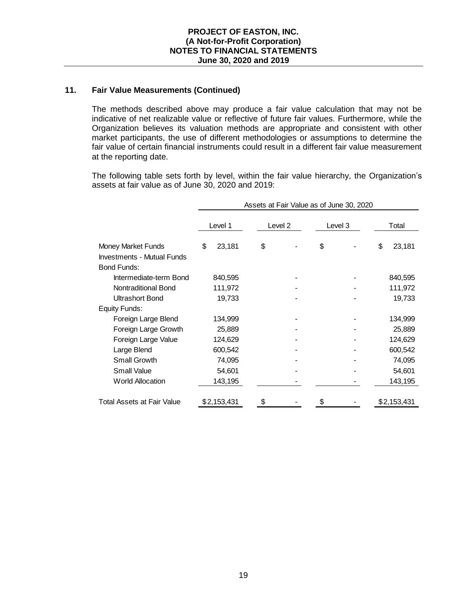## **11. Fair Value Measurements (Continued)**

The methods described above may produce a fair value calculation that may not be indicative of net realizable value or reflective of future fair values. Furthermore, while the Organization believes its valuation methods are appropriate and consistent with other market participants, the use of different methodologies or assumptions to determine the fair value of certain financial instruments could result in a different fair value measurement at the reporting date.

The following table sets forth by level, within the fair value hierarchy, the Organization's assets at fair value as of June 30, 2020 and 2019:

|                                   | Assets at Fair Value as of June 30, 2020 |                    |    |  |         |    |       |    |             |
|-----------------------------------|------------------------------------------|--------------------|----|--|---------|----|-------|----|-------------|
|                                   |                                          | Level 1<br>Level 2 |    |  | Level 3 |    | Total |    |             |
| <b>Money Market Funds</b>         | \$                                       | 23,181             | \$ |  |         | \$ |       | \$ | 23,181      |
| <b>Investments - Mutual Funds</b> |                                          |                    |    |  |         |    |       |    |             |
| <b>Bond Funds:</b>                |                                          |                    |    |  |         |    |       |    |             |
| Intermediate-term Bond            |                                          | 840,595            |    |  |         |    |       |    | 840,595     |
| Nontraditional Bond               |                                          | 111,972            |    |  |         |    |       |    | 111,972     |
| <b>Ultrashort Bond</b>            |                                          | 19,733             |    |  |         |    |       |    | 19,733      |
| Equity Funds:                     |                                          |                    |    |  |         |    |       |    |             |
| Foreign Large Blend               |                                          | 134,999            |    |  |         |    |       |    | 134,999     |
| Foreign Large Growth              |                                          | 25,889             |    |  |         |    |       |    | 25,889      |
| Foreign Large Value               |                                          | 124,629            |    |  |         |    |       |    | 124,629     |
| Large Blend                       |                                          | 600,542            |    |  |         |    |       |    | 600,542     |
| Small Growth                      |                                          | 74,095             |    |  |         |    |       |    | 74,095      |
| <b>Small Value</b>                |                                          | 54,601             |    |  |         |    |       |    | 54,601      |
| <b>World Allocation</b>           |                                          | 143,195            |    |  |         |    |       |    | 143,195     |
| Total Assets at Fair Value        |                                          | \$2,153,431        | \$ |  |         | \$ |       |    | \$2,153,431 |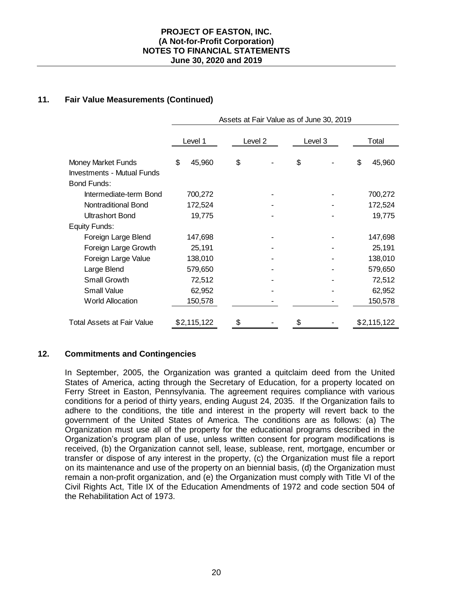# **11. Fair Value Measurements (Continued)**

|                                   | Assets at Fair Value as of June 30, 2019 |             |    |         |    |         |    |             |  |
|-----------------------------------|------------------------------------------|-------------|----|---------|----|---------|----|-------------|--|
|                                   | Level 1                                  |             |    | Level 2 |    | Level 3 |    | Total       |  |
| <b>Money Market Funds</b>         | \$                                       | 45,960      | \$ |         | \$ |         | \$ | 45,960      |  |
| <b>Investments - Mutual Funds</b> |                                          |             |    |         |    |         |    |             |  |
| <b>Bond Funds:</b>                |                                          |             |    |         |    |         |    |             |  |
| Intermediate-term Bond            |                                          | 700,272     |    |         |    |         |    | 700,272     |  |
| Nontraditional Bond               |                                          | 172,524     |    |         |    |         |    | 172,524     |  |
| <b>Ultrashort Bond</b>            |                                          | 19,775      |    |         |    |         |    | 19,775      |  |
| Equity Funds:                     |                                          |             |    |         |    |         |    |             |  |
| Foreign Large Blend               |                                          | 147,698     |    |         |    |         |    | 147,698     |  |
| Foreign Large Growth              |                                          | 25,191      |    |         |    |         |    | 25,191      |  |
| Foreign Large Value               |                                          | 138,010     |    |         |    |         |    | 138,010     |  |
| Large Blend                       |                                          | 579,650     |    |         |    |         |    | 579,650     |  |
| Small Growth                      |                                          | 72,512      |    |         |    |         |    | 72,512      |  |
| <b>Small Value</b>                |                                          | 62,952      |    |         |    |         |    | 62,952      |  |
| <b>World Allocation</b>           |                                          | 150,578     |    |         |    |         |    | 150,578     |  |
|                                   |                                          |             |    |         |    |         |    |             |  |
| <b>Total Assets at Fair Value</b> |                                          | \$2,115,122 |    |         |    |         |    | \$2,115,122 |  |

## **12. Commitments and Contingencies**

In September, 2005, the Organization was granted a quitclaim deed from the United States of America, acting through the Secretary of Education, for a property located on Ferry Street in Easton, Pennsylvania. The agreement requires compliance with various conditions for a period of thirty years, ending August 24, 2035. If the Organization fails to adhere to the conditions, the title and interest in the property will revert back to the government of the United States of America. The conditions are as follows: (a) The Organization must use all of the property for the educational programs described in the Organization's program plan of use, unless written consent for program modifications is received, (b) the Organization cannot sell, lease, sublease, rent, mortgage, encumber or transfer or dispose of any interest in the property, (c) the Organization must file a report on its maintenance and use of the property on an biennial basis, (d) the Organization must remain a non-profit organization, and (e) the Organization must comply with Title VI of the Civil Rights Act, Title IX of the Education Amendments of 1972 and code section 504 of the Rehabilitation Act of 1973.